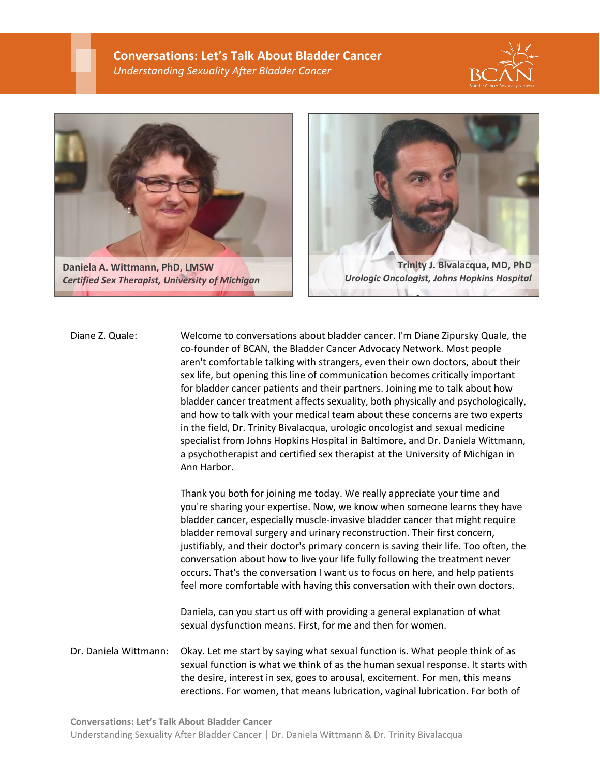$\overline{a}$ 





**Daniela A. Wittmann, PhD, LMSW** *Certified Sex Therapist, University of Michigan*



Diane Z. Quale: Welcome to conversations about bladder cancer. I'm Diane Zipursky Quale, the co-founder of BCAN, the Bladder Cancer Advocacy Network. Most people aren't comfortable talking with strangers, even their own doctors, about their sex life, but opening this line of communication becomes critically important for bladder cancer patients and their partners. Joining me to talk about how bladder cancer treatment affects sexuality, both physically and psychologically, and how to talk with your medical team about these concerns are two experts in the field, Dr. Trinity Bivalacqua, urologic oncologist and sexual medicine specialist from Johns Hopkins Hospital in Baltimore, and Dr. Daniela Wittmann, a psychotherapist and certified sex therapist at the University of Michigan in Ann Harbor.

> Thank you both for joining me today. We really appreciate your time and you're sharing your expertise. Now, we know when someone learns they have bladder cancer, especially muscle-invasive bladder cancer that might require bladder removal surgery and urinary reconstruction. Their first concern, justifiably, and their doctor's primary concern is saving their life. Too often, the conversation about how to live your life fully following the treatment never occurs. That's the conversation I want us to focus on here, and help patients feel more comfortable with having this conversation with their own doctors.

Daniela, can you start us off with providing a general explanation of what sexual dysfunction means. First, for me and then for women.

Dr. Daniela Wittmann: Okay. Let me start by saying what sexual function is. What people think of as sexual function is what we think of as the human sexual response. It starts with the desire, interest in sex, goes to arousal, excitement. For men, this means erections. For women, that means lubrication, vaginal lubrication. For both of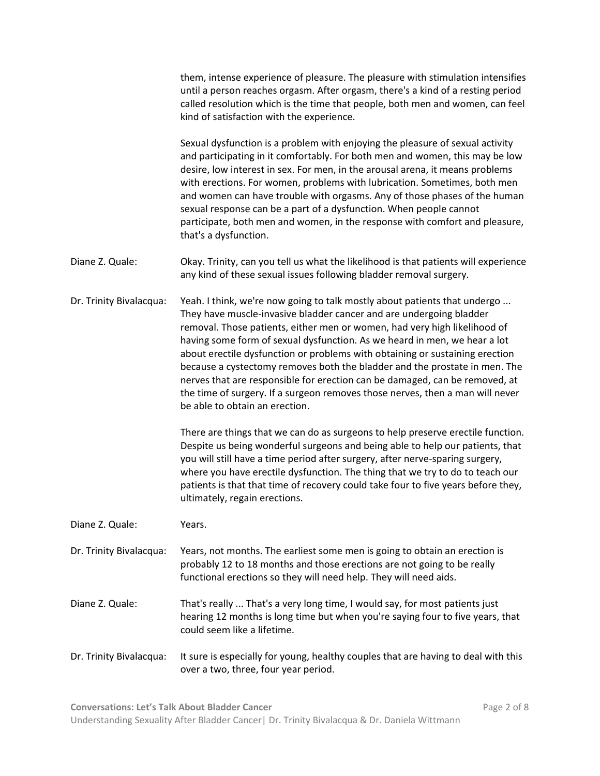|                         | them, intense experience of pleasure. The pleasure with stimulation intensifies<br>until a person reaches orgasm. After orgasm, there's a kind of a resting period<br>called resolution which is the time that people, both men and women, can feel<br>kind of satisfaction with the experience.                                                                                                                                                                                                                                                                                                                                                                                                                                                              |
|-------------------------|---------------------------------------------------------------------------------------------------------------------------------------------------------------------------------------------------------------------------------------------------------------------------------------------------------------------------------------------------------------------------------------------------------------------------------------------------------------------------------------------------------------------------------------------------------------------------------------------------------------------------------------------------------------------------------------------------------------------------------------------------------------|
|                         | Sexual dysfunction is a problem with enjoying the pleasure of sexual activity<br>and participating in it comfortably. For both men and women, this may be low<br>desire, low interest in sex. For men, in the arousal arena, it means problems<br>with erections. For women, problems with lubrication. Sometimes, both men<br>and women can have trouble with orgasms. Any of those phases of the human<br>sexual response can be a part of a dysfunction. When people cannot<br>participate, both men and women, in the response with comfort and pleasure,<br>that's a dysfunction.                                                                                                                                                                        |
| Diane Z. Quale:         | Okay. Trinity, can you tell us what the likelihood is that patients will experience<br>any kind of these sexual issues following bladder removal surgery.                                                                                                                                                                                                                                                                                                                                                                                                                                                                                                                                                                                                     |
| Dr. Trinity Bivalacqua: | Yeah. I think, we're now going to talk mostly about patients that undergo<br>They have muscle-invasive bladder cancer and are undergoing bladder<br>removal. Those patients, either men or women, had very high likelihood of<br>having some form of sexual dysfunction. As we heard in men, we hear a lot<br>about erectile dysfunction or problems with obtaining or sustaining erection<br>because a cystectomy removes both the bladder and the prostate in men. The<br>nerves that are responsible for erection can be damaged, can be removed, at<br>the time of surgery. If a surgeon removes those nerves, then a man will never<br>be able to obtain an erection.<br>There are things that we can do as surgeons to help preserve erectile function. |
|                         | Despite us being wonderful surgeons and being able to help our patients, that<br>you will still have a time period after surgery, after nerve-sparing surgery,<br>where you have erectile dysfunction. The thing that we try to do to teach our<br>patients is that that time of recovery could take four to five years before they,<br>ultimately, regain erections.                                                                                                                                                                                                                                                                                                                                                                                         |
| Diane Z. Quale:         | Years.                                                                                                                                                                                                                                                                                                                                                                                                                                                                                                                                                                                                                                                                                                                                                        |
| Dr. Trinity Bivalacqua: | Years, not months. The earliest some men is going to obtain an erection is<br>probably 12 to 18 months and those erections are not going to be really<br>functional erections so they will need help. They will need aids.                                                                                                                                                                                                                                                                                                                                                                                                                                                                                                                                    |
| Diane Z. Quale:         | That's really  That's a very long time, I would say, for most patients just<br>hearing 12 months is long time but when you're saying four to five years, that<br>could seem like a lifetime.                                                                                                                                                                                                                                                                                                                                                                                                                                                                                                                                                                  |
| Dr. Trinity Bivalacqua: | It sure is especially for young, healthy couples that are having to deal with this<br>over a two, three, four year period.                                                                                                                                                                                                                                                                                                                                                                                                                                                                                                                                                                                                                                    |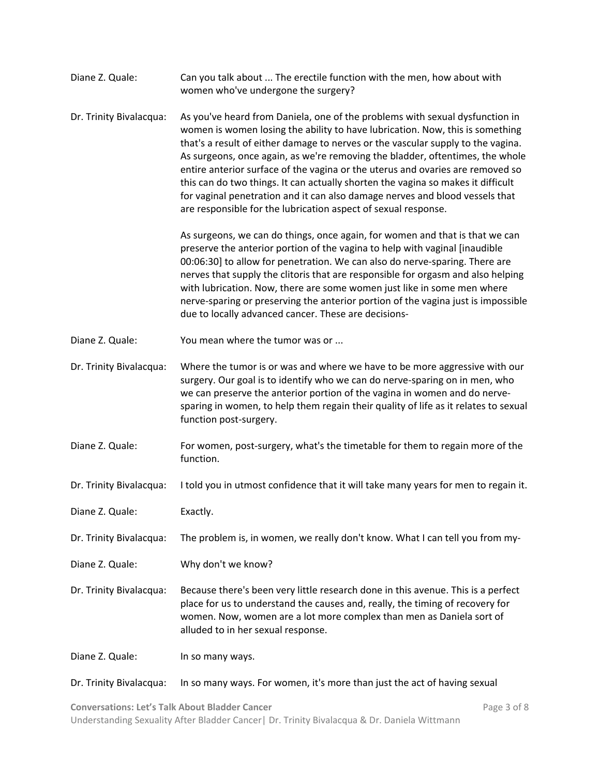| Diane Z. Quale:         | Can you talk about  The erectile function with the men, how about with<br>women who've undergone the surgery?                                                                                                                                                                                                                                                                                                                                                                                                                                                                                                                                              |
|-------------------------|------------------------------------------------------------------------------------------------------------------------------------------------------------------------------------------------------------------------------------------------------------------------------------------------------------------------------------------------------------------------------------------------------------------------------------------------------------------------------------------------------------------------------------------------------------------------------------------------------------------------------------------------------------|
| Dr. Trinity Bivalacqua: | As you've heard from Daniela, one of the problems with sexual dysfunction in<br>women is women losing the ability to have lubrication. Now, this is something<br>that's a result of either damage to nerves or the vascular supply to the vagina.<br>As surgeons, once again, as we're removing the bladder, oftentimes, the whole<br>entire anterior surface of the vagina or the uterus and ovaries are removed so<br>this can do two things. It can actually shorten the vagina so makes it difficult<br>for vaginal penetration and it can also damage nerves and blood vessels that<br>are responsible for the lubrication aspect of sexual response. |
|                         | As surgeons, we can do things, once again, for women and that is that we can<br>preserve the anterior portion of the vagina to help with vaginal [inaudible<br>00:06:30] to allow for penetration. We can also do nerve-sparing. There are<br>nerves that supply the clitoris that are responsible for orgasm and also helping<br>with lubrication. Now, there are some women just like in some men where<br>nerve-sparing or preserving the anterior portion of the vagina just is impossible<br>due to locally advanced cancer. These are decisions-                                                                                                     |
| Diane Z. Quale:         | You mean where the tumor was or                                                                                                                                                                                                                                                                                                                                                                                                                                                                                                                                                                                                                            |
| Dr. Trinity Bivalacqua: | Where the tumor is or was and where we have to be more aggressive with our<br>surgery. Our goal is to identify who we can do nerve-sparing on in men, who<br>we can preserve the anterior portion of the vagina in women and do nerve-<br>sparing in women, to help them regain their quality of life as it relates to sexual<br>function post-surgery.                                                                                                                                                                                                                                                                                                    |
| Diane Z. Quale:         | For women, post-surgery, what's the timetable for them to regain more of the<br>function.                                                                                                                                                                                                                                                                                                                                                                                                                                                                                                                                                                  |
| Dr. Trinity Bivalacqua: | I told you in utmost confidence that it will take many years for men to regain it.                                                                                                                                                                                                                                                                                                                                                                                                                                                                                                                                                                         |
| Diane Z. Quale:         | Exactly.                                                                                                                                                                                                                                                                                                                                                                                                                                                                                                                                                                                                                                                   |
| Dr. Trinity Bivalacqua: | The problem is, in women, we really don't know. What I can tell you from my-                                                                                                                                                                                                                                                                                                                                                                                                                                                                                                                                                                               |
| Diane Z. Quale:         | Why don't we know?                                                                                                                                                                                                                                                                                                                                                                                                                                                                                                                                                                                                                                         |
| Dr. Trinity Bivalacqua: | Because there's been very little research done in this avenue. This is a perfect<br>place for us to understand the causes and, really, the timing of recovery for<br>women. Now, women are a lot more complex than men as Daniela sort of<br>alluded to in her sexual response.                                                                                                                                                                                                                                                                                                                                                                            |
| Diane Z. Quale:         | In so many ways.                                                                                                                                                                                                                                                                                                                                                                                                                                                                                                                                                                                                                                           |
| Dr. Trinity Bivalacqua: | In so many ways. For women, it's more than just the act of having sexual                                                                                                                                                                                                                                                                                                                                                                                                                                                                                                                                                                                   |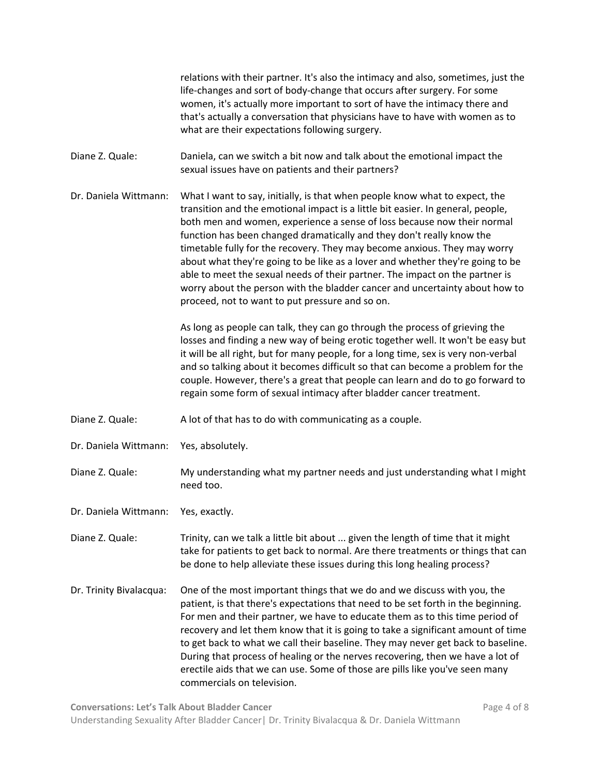relations with their partner. It's also the intimacy and also, sometimes, just the life-changes and sort of body-change that occurs after surgery. For some women, it's actually more important to sort of have the intimacy there and that's actually a conversation that physicians have to have with women as to what are their expectations following surgery. Diane Z. Quale: Daniela, can we switch a bit now and talk about the emotional impact the sexual issues have on patients and their partners? Dr. Daniela Wittmann: What I want to say, initially, is that when people know what to expect, the transition and the emotional impact is a little bit easier. In general, people, both men and women, experience a sense of loss because now their normal function has been changed dramatically and they don't really know the timetable fully for the recovery. They may become anxious. They may worry about what they're going to be like as a lover and whether they're going to be able to meet the sexual needs of their partner. The impact on the partner is worry about the person with the bladder cancer and uncertainty about how to proceed, not to want to put pressure and so on. As long as people can talk, they can go through the process of grieving the losses and finding a new way of being erotic together well. It won't be easy but it will be all right, but for many people, for a long time, sex is very non-verbal and so talking about it becomes difficult so that can become a problem for the couple. However, there's a great that people can learn and do to go forward to regain some form of sexual intimacy after bladder cancer treatment. Diane Z. Quale: A lot of that has to do with communicating as a couple. Dr. Daniela Wittmann: Yes, absolutely. Diane Z. Quale: My understanding what my partner needs and just understanding what I might need too. Dr. Daniela Wittmann: Yes, exactly. Diane Z. Quale: Trinity, can we talk a little bit about ... given the length of time that it might take for patients to get back to normal. Are there treatments or things that can be done to help alleviate these issues during this long healing process? Dr. Trinity Bivalacqua: One of the most important things that we do and we discuss with you, the patient, is that there's expectations that need to be set forth in the beginning. For men and their partner, we have to educate them as to this time period of recovery and let them know that it is going to take a significant amount of time to get back to what we call their baseline. They may never get back to baseline. During that process of healing or the nerves recovering, then we have a lot of erectile aids that we can use. Some of those are pills like you've seen many commercials on television.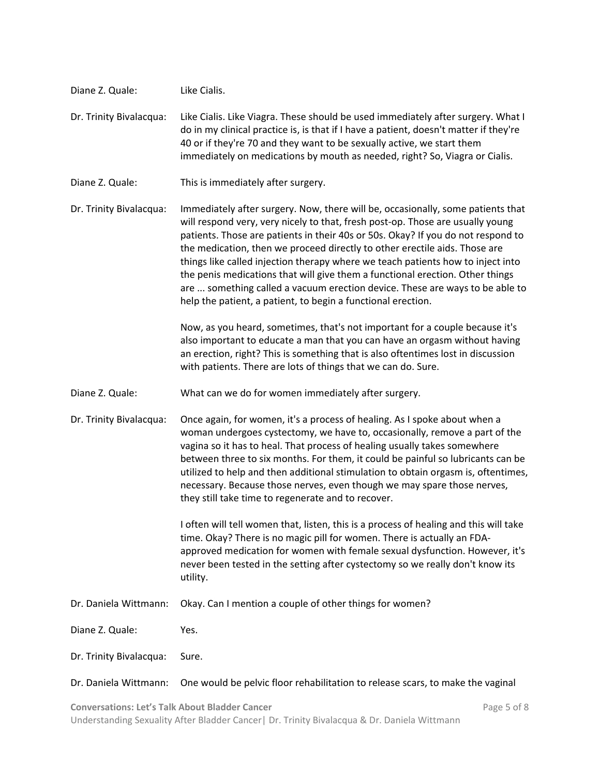| Diane Z. Quale:         | Like Cialis.                                                                                                                                                                                                                                                                                                                                                                                                                                                                                                                                                                                                                                            |
|-------------------------|---------------------------------------------------------------------------------------------------------------------------------------------------------------------------------------------------------------------------------------------------------------------------------------------------------------------------------------------------------------------------------------------------------------------------------------------------------------------------------------------------------------------------------------------------------------------------------------------------------------------------------------------------------|
| Dr. Trinity Bivalacqua: | Like Cialis. Like Viagra. These should be used immediately after surgery. What I<br>do in my clinical practice is, is that if I have a patient, doesn't matter if they're<br>40 or if they're 70 and they want to be sexually active, we start them<br>immediately on medications by mouth as needed, right? So, Viagra or Cialis.                                                                                                                                                                                                                                                                                                                      |
| Diane Z. Quale:         | This is immediately after surgery.                                                                                                                                                                                                                                                                                                                                                                                                                                                                                                                                                                                                                      |
| Dr. Trinity Bivalacqua: | Immediately after surgery. Now, there will be, occasionally, some patients that<br>will respond very, very nicely to that, fresh post-op. Those are usually young<br>patients. Those are patients in their 40s or 50s. Okay? If you do not respond to<br>the medication, then we proceed directly to other erectile aids. Those are<br>things like called injection therapy where we teach patients how to inject into<br>the penis medications that will give them a functional erection. Other things<br>are  something called a vacuum erection device. These are ways to be able to<br>help the patient, a patient, to begin a functional erection. |
|                         | Now, as you heard, sometimes, that's not important for a couple because it's<br>also important to educate a man that you can have an orgasm without having<br>an erection, right? This is something that is also oftentimes lost in discussion<br>with patients. There are lots of things that we can do. Sure.                                                                                                                                                                                                                                                                                                                                         |
| Diane Z. Quale:         | What can we do for women immediately after surgery.                                                                                                                                                                                                                                                                                                                                                                                                                                                                                                                                                                                                     |
| Dr. Trinity Bivalacqua: | Once again, for women, it's a process of healing. As I spoke about when a<br>woman undergoes cystectomy, we have to, occasionally, remove a part of the<br>vagina so it has to heal. That process of healing usually takes somewhere<br>between three to six months. For them, it could be painful so lubricants can be<br>utilized to help and then additional stimulation to obtain orgasm is, oftentimes,<br>necessary. Because those nerves, even though we may spare those nerves,<br>they still take time to regenerate and to recover.                                                                                                           |
|                         | I often will tell women that, listen, this is a process of healing and this will take<br>time. Okay? There is no magic pill for women. There is actually an FDA-<br>approved medication for women with female sexual dysfunction. However, it's<br>never been tested in the setting after cystectomy so we really don't know its<br>utility.                                                                                                                                                                                                                                                                                                            |
| Dr. Daniela Wittmann:   | Okay. Can I mention a couple of other things for women?                                                                                                                                                                                                                                                                                                                                                                                                                                                                                                                                                                                                 |
| Diane Z. Quale:         | Yes.                                                                                                                                                                                                                                                                                                                                                                                                                                                                                                                                                                                                                                                    |
| Dr. Trinity Bivalacqua: | Sure.                                                                                                                                                                                                                                                                                                                                                                                                                                                                                                                                                                                                                                                   |
| Dr. Daniela Wittmann:   | One would be pelvic floor rehabilitation to release scars, to make the vaginal                                                                                                                                                                                                                                                                                                                                                                                                                                                                                                                                                                          |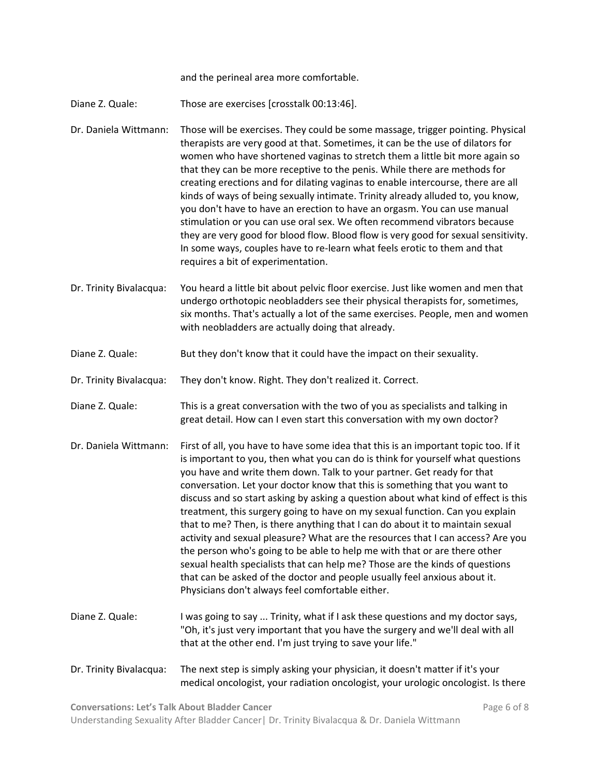and the perineal area more comfortable.

Diane Z. Quale: Those are exercises [crosstalk 00:13:46].

Dr. Daniela Wittmann: Those will be exercises. They could be some massage, trigger pointing. Physical therapists are very good at that. Sometimes, it can be the use of dilators for women who have shortened vaginas to stretch them a little bit more again so that they can be more receptive to the penis. While there are methods for creating erections and for dilating vaginas to enable intercourse, there are all kinds of ways of being sexually intimate. Trinity already alluded to, you know, you don't have to have an erection to have an orgasm. You can use manual stimulation or you can use oral sex. We often recommend vibrators because they are very good for blood flow. Blood flow is very good for sexual sensitivity. In some ways, couples have to re-learn what feels erotic to them and that requires a bit of experimentation.

Dr. Trinity Bivalacqua: You heard a little bit about pelvic floor exercise. Just like women and men that undergo orthotopic neobladders see their physical therapists for, sometimes, six months. That's actually a lot of the same exercises. People, men and women with neobladders are actually doing that already.

Diane Z. Quale: But they don't know that it could have the impact on their sexuality.

Dr. Trinity Bivalacqua: They don't know. Right. They don't realized it. Correct.

Diane Z. Quale: This is a great conversation with the two of you as specialists and talking in great detail. How can I even start this conversation with my own doctor?

- Dr. Daniela Wittmann: First of all, you have to have some idea that this is an important topic too. If it is important to you, then what you can do is think for yourself what questions you have and write them down. Talk to your partner. Get ready for that conversation. Let your doctor know that this is something that you want to discuss and so start asking by asking a question about what kind of effect is this treatment, this surgery going to have on my sexual function. Can you explain that to me? Then, is there anything that I can do about it to maintain sexual activity and sexual pleasure? What are the resources that I can access? Are you the person who's going to be able to help me with that or are there other sexual health specialists that can help me? Those are the kinds of questions that can be asked of the doctor and people usually feel anxious about it. Physicians don't always feel comfortable either.
- Diane Z. Quale: I was going to say ... Trinity, what if I ask these questions and my doctor says, "Oh, it's just very important that you have the surgery and we'll deal with all that at the other end. I'm just trying to save your life."
- Dr. Trinity Bivalacqua: The next step is simply asking your physician, it doesn't matter if it's your medical oncologist, your radiation oncologist, your urologic oncologist. Is there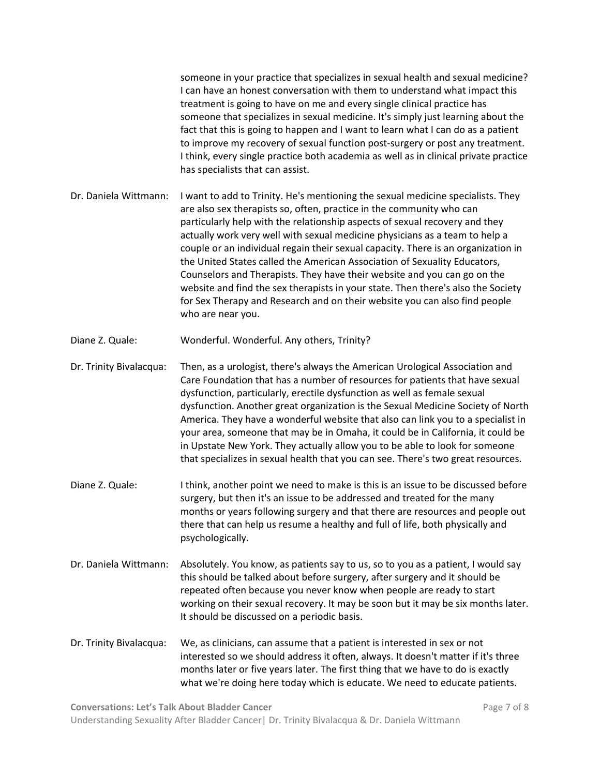someone in your practice that specializes in sexual health and sexual medicine? I can have an honest conversation with them to understand what impact this treatment is going to have on me and every single clinical practice has someone that specializes in sexual medicine. It's simply just learning about the fact that this is going to happen and I want to learn what I can do as a patient to improve my recovery of sexual function post-surgery or post any treatment. I think, every single practice both academia as well as in clinical private practice has specialists that can assist. Dr. Daniela Wittmann: I want to add to Trinity. He's mentioning the sexual medicine specialists. They are also sex therapists so, often, practice in the community who can particularly help with the relationship aspects of sexual recovery and they actually work very well with sexual medicine physicians as a team to help a couple or an individual regain their sexual capacity. There is an organization in the United States called the American Association of Sexuality Educators, Counselors and Therapists. They have their website and you can go on the website and find the sex therapists in your state. Then there's also the Society for Sex Therapy and Research and on their website you can also find people who are near you. Diane Z. Quale: Wonderful. Wonderful. Any others, Trinity? Dr. Trinity Bivalacqua: Then, as a urologist, there's always the American Urological Association and Care Foundation that has a number of resources for patients that have sexual dysfunction, particularly, erectile dysfunction as well as female sexual dysfunction. Another great organization is the Sexual Medicine Society of North America. They have a wonderful website that also can link you to a specialist in your area, someone that may be in Omaha, it could be in California, it could be in Upstate New York. They actually allow you to be able to look for someone that specializes in sexual health that you can see. There's two great resources. Diane Z. Quale: I think, another point we need to make is this is an issue to be discussed before surgery, but then it's an issue to be addressed and treated for the many months or years following surgery and that there are resources and people out there that can help us resume a healthy and full of life, both physically and psychologically. Dr. Daniela Wittmann: Absolutely. You know, as patients say to us, so to you as a patient, I would say this should be talked about before surgery, after surgery and it should be repeated often because you never know when people are ready to start working on their sexual recovery. It may be soon but it may be six months later. It should be discussed on a periodic basis. Dr. Trinity Bivalacqua: We, as clinicians, can assume that a patient is interested in sex or not interested so we should address it often, always. It doesn't matter if it's three months later or five years later. The first thing that we have to do is exactly what we're doing here today which is educate. We need to educate patients.